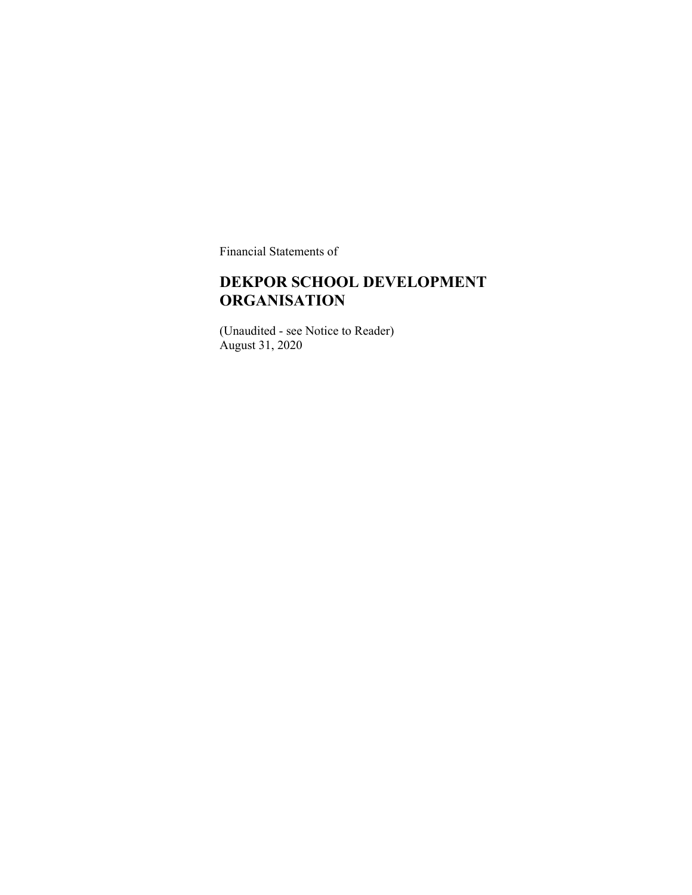Financial Statements of

#### **DEKPOR SCHOOL DEVELOPMENT ORGANISATION**

(Unaudited - see Notice to Reader) August 31, 2020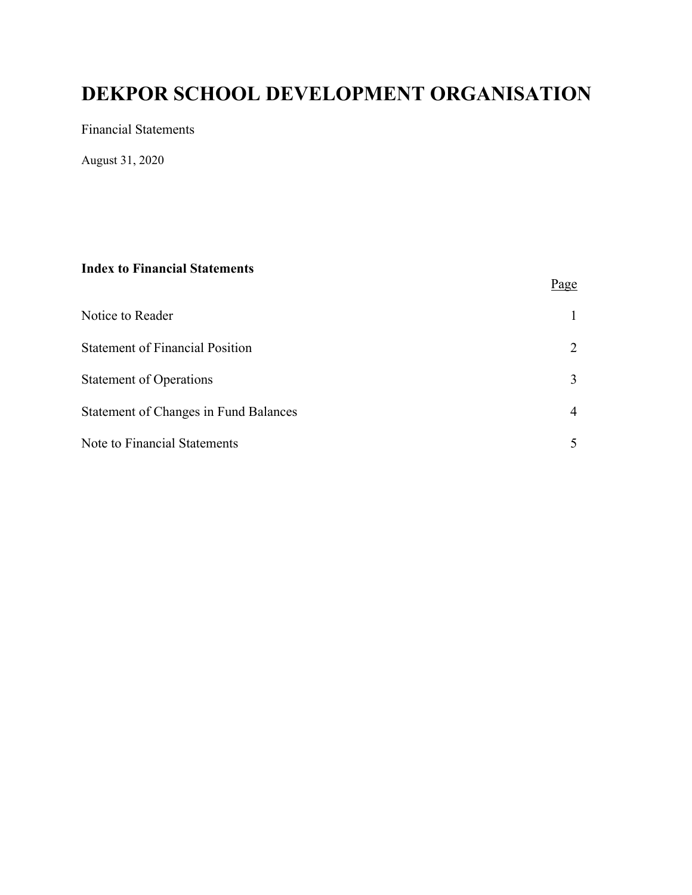Financial Statements

August 31, 2020

#### **Index to Financial Statements**

|                                              | Page           |
|----------------------------------------------|----------------|
| Notice to Reader                             |                |
| <b>Statement of Financial Position</b>       | 2              |
| <b>Statement of Operations</b>               | 3              |
| <b>Statement of Changes in Fund Balances</b> | $\overline{4}$ |
| Note to Financial Statements                 |                |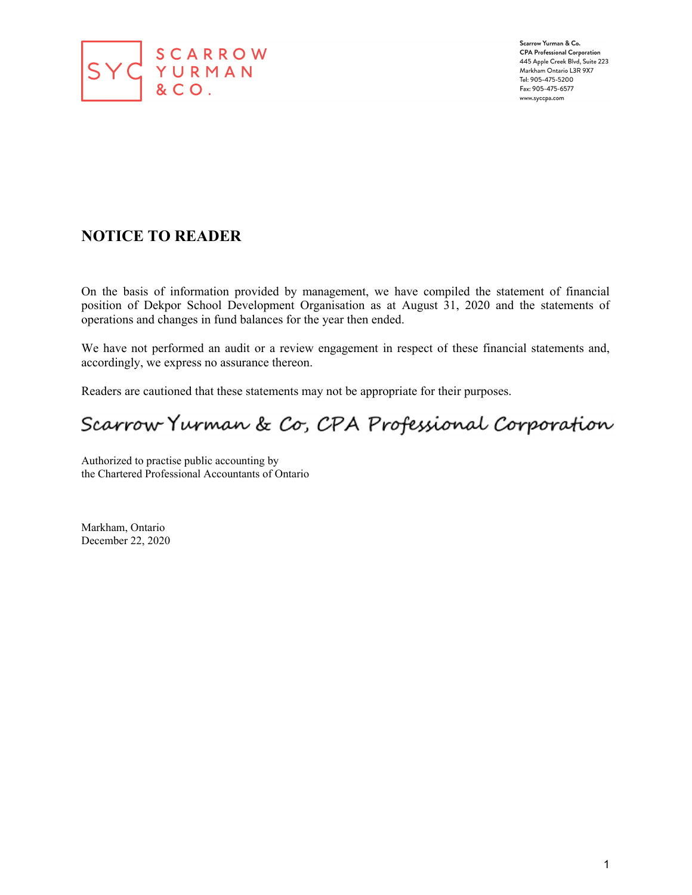

Scarrow Yurman & Co. **CPA Professional Corporation** 445 Apple Creek Blvd, Suite 223 Markham Ontario L3R 9X7 Tel: 905-475-5200 Fax: 905-475-6577 www.syccpa.com

#### **NOTICE TO READER**

On the basis of information provided by management, we have compiled the statement of financial position of Dekpor School Development Organisation as at August 31, 2020 and the statements of operations and changes in fund balances for the year then ended.

We have not performed an audit or a review engagement in respect of these financial statements and, accordingly, we express no assurance thereon.

Readers are cautioned that these statements may not be appropriate for their purposes.

# Scarrow Yurman & Co, CPA Professional Corporation

Authorized to practise public accounting by the Chartered Professional Accountants of Ontario

Markham, Ontario December 22, 2020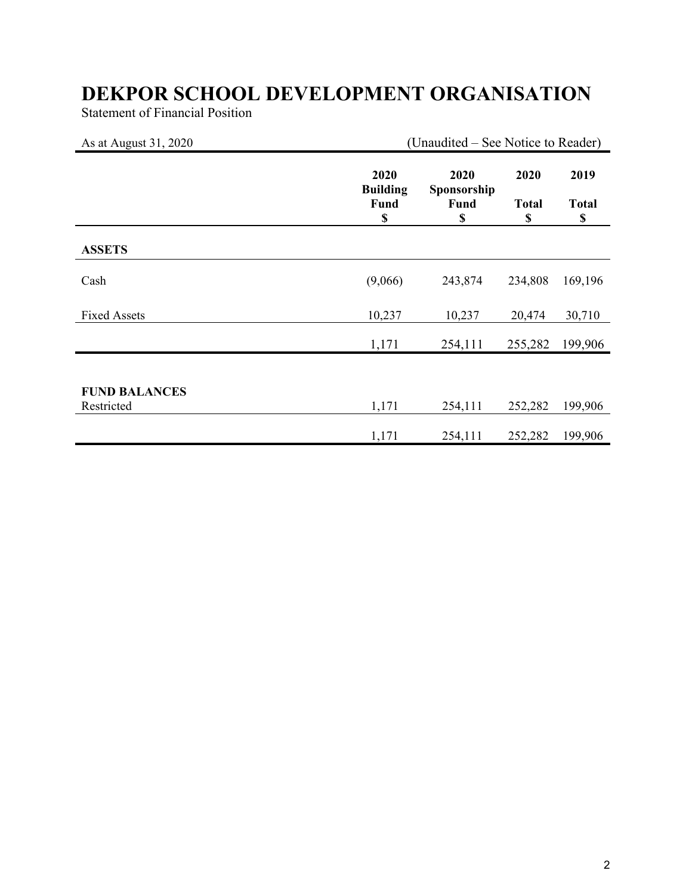Statement of Financial Position

| As at August 31, 2020              |                                       | (Unaudited – See Notice to Reader)       |                            |                            |
|------------------------------------|---------------------------------------|------------------------------------------|----------------------------|----------------------------|
|                                    | 2020<br><b>Building</b><br>Fund<br>\$ | 2020<br>Sponsorship<br><b>Fund</b><br>\$ | 2020<br><b>Total</b><br>\$ | 2019<br><b>Total</b><br>\$ |
| <b>ASSETS</b>                      |                                       |                                          |                            |                            |
| Cash                               | (9,066)                               | 243,874                                  | 234,808                    | 169,196                    |
| <b>Fixed Assets</b>                | 10,237                                | 10,237                                   | 20,474                     | 30,710                     |
|                                    | 1,171                                 | 254,111                                  | 255,282                    | 199,906                    |
|                                    |                                       |                                          |                            |                            |
| <b>FUND BALANCES</b><br>Restricted | 1,171                                 | 254,111                                  | 252,282                    | 199,906                    |
|                                    | 1,171                                 | 254,111                                  | 252,282                    | 199,906                    |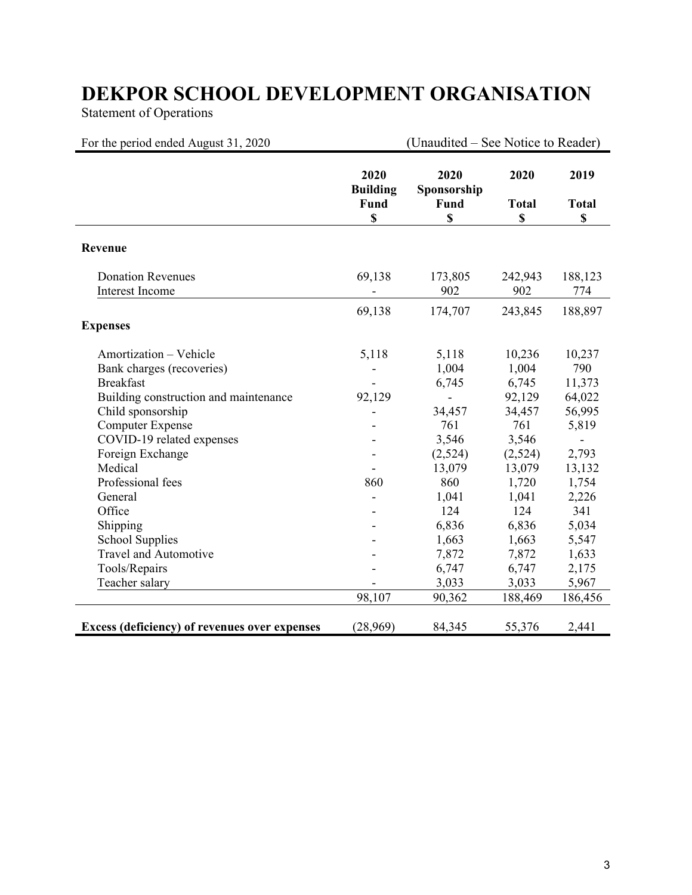Statement of Operations

| For the period ended August 31, 2020                                                                                                                                                                                         |                                                | (Unaudited – See Notice to Reader)                                     |                                                                                   |                                                                               |
|------------------------------------------------------------------------------------------------------------------------------------------------------------------------------------------------------------------------------|------------------------------------------------|------------------------------------------------------------------------|-----------------------------------------------------------------------------------|-------------------------------------------------------------------------------|
|                                                                                                                                                                                                                              | 2020<br><b>Building</b><br>Fund<br>$\mathbf S$ | 2020<br>Sponsorship<br>Fund<br>\$                                      | 2020<br><b>Total</b><br>\$                                                        | 2019<br><b>Total</b><br>\$                                                    |
| Revenue                                                                                                                                                                                                                      |                                                |                                                                        |                                                                                   |                                                                               |
| <b>Donation Revenues</b><br><b>Interest Income</b>                                                                                                                                                                           | 69,138                                         | 173,805<br>902                                                         | 242,943<br>902                                                                    | 188,123<br>774                                                                |
| <b>Expenses</b>                                                                                                                                                                                                              | 69,138                                         | 174,707                                                                | 243,845                                                                           | 188,897                                                                       |
| Amortization - Vehicle<br>Bank charges (recoveries)<br><b>Breakfast</b><br>Building construction and maintenance<br>Child sponsorship<br><b>Computer Expense</b><br>COVID-19 related expenses<br>Foreign Exchange<br>Medical | 5,118<br>92,129                                | 5,118<br>1,004<br>6,745<br>34,457<br>761<br>3,546<br>(2,524)<br>13,079 | 10,236<br>1,004<br>6,745<br>92,129<br>34,457<br>761<br>3,546<br>(2,524)<br>13,079 | 10,237<br>790<br>11,373<br>64,022<br>56,995<br>5,819<br>÷,<br>2,793<br>13,132 |
| Professional fees<br>General<br>Office<br>Shipping<br><b>School Supplies</b><br>Travel and Automotive<br>Tools/Repairs<br>Teacher salary                                                                                     | 860                                            | 860<br>1,041<br>124<br>6,836<br>1,663<br>7,872<br>6,747<br>3,033       | 1,720<br>1,041<br>124<br>6,836<br>1,663<br>7,872<br>6,747<br>3,033                | 1,754<br>2,226<br>341<br>5,034<br>5,547<br>1,633<br>2,175<br>5,967            |
|                                                                                                                                                                                                                              | 98,107                                         | 90,362                                                                 | 188,469                                                                           | 186,456                                                                       |
| Excess (deficiency) of revenues over expenses                                                                                                                                                                                | (28,969)                                       | 84,345                                                                 | 55,376                                                                            | 2,441                                                                         |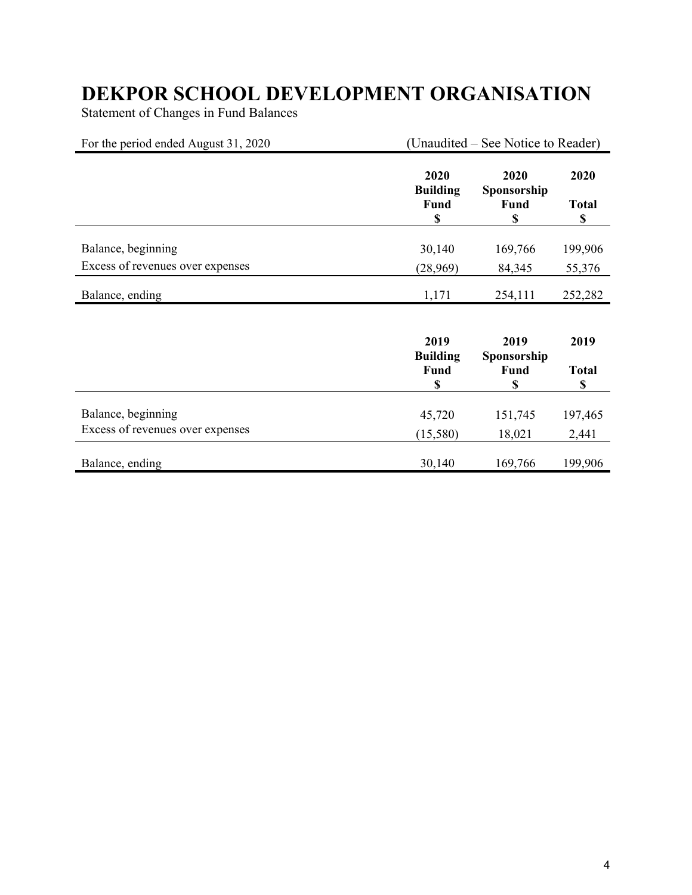Statement of Changes in Fund Balances

| For the period ended August 31, 2020 | (Unaudited – See Notice to Reader)    |                                   |                            |
|--------------------------------------|---------------------------------------|-----------------------------------|----------------------------|
|                                      | 2020<br><b>Building</b><br>Fund<br>\$ | 2020<br>Sponsorship<br>Fund<br>\$ | 2020<br><b>Total</b><br>\$ |
| Balance, beginning                   | 30,140                                | 169,766                           | 199,906                    |
| Excess of revenues over expenses     | (28,969)                              | 84,345                            | 55,376                     |
| Balance, ending                      | 1,171                                 | 254,111                           | 252,282                    |
|                                      | 2019<br><b>Building</b><br>Fund<br>\$ | 2019<br>Sponsorship<br>Fund<br>\$ | 2019<br><b>Total</b><br>\$ |
| Balance, beginning                   | 45,720                                | 151,745                           | 197,465                    |
| Excess of revenues over expenses     | (15,580)                              | 18,021                            | 2,441                      |
| Balance, ending                      | 30,140                                | 169,766                           | 199,906                    |